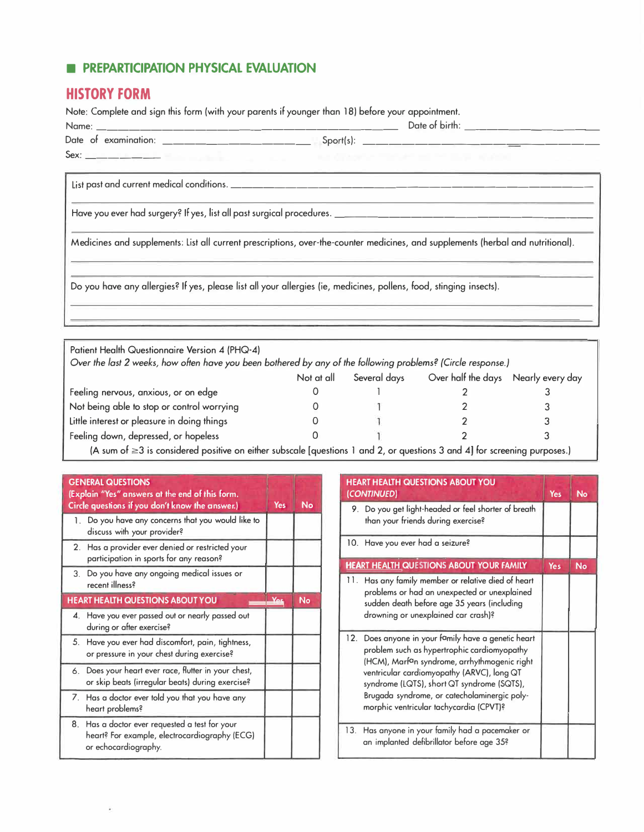## **■ PREPARTICIPATION PHYSICAL EVALUATION**

## **HISTORY FORM**

Note: Complete and sign this form (with your parents if younger than 18) before your appointment.

|                                                                                             | Date of birth: ____________________                                                                                              |  |  |
|---------------------------------------------------------------------------------------------|----------------------------------------------------------------------------------------------------------------------------------|--|--|
|                                                                                             | ${\sf Sport(s):}$ _______________________                                                                                        |  |  |
|                                                                                             | Approximated the control of the state of the                                                                                     |  |  |
|                                                                                             |                                                                                                                                  |  |  |
| Have you ever had surgery? If yes, list all past surgical procedures. _____________________ |                                                                                                                                  |  |  |
|                                                                                             | Medicines and supplements: List all current prescriptions, over-the-counter medicines, and supplements (herbal and nutritional). |  |  |
|                                                                                             | Do you have any allergies? If yes, please list all your allergies (ie, medicines, pollens, food, stinging insects).              |  |  |

| Patient Health Questionnaire Version 4 (PHQ-4)<br>Over the last 2 weeks, how often have you been bothered by any of the following problems? (Circle response.) |            |              |                                     |  |
|----------------------------------------------------------------------------------------------------------------------------------------------------------------|------------|--------------|-------------------------------------|--|
|                                                                                                                                                                | Not at all | Several days | Over half the days Nearly every day |  |
| Feeling nervous, anxious, or on edge                                                                                                                           |            |              |                                     |  |
| Not being able to stop or control worrying                                                                                                                     |            |              |                                     |  |
| Little interest or pleasure in doing things                                                                                                                    |            |              |                                     |  |
| Feeling down, depressed, or hopeless                                                                                                                           |            |              |                                     |  |
| <u>IA una dia 6.5 metatra denomina de Shannako de Londono 1 mil 9 metro. Guidad di Londono de mondo</u>                                                        |            |              |                                     |  |

(A sum of  $\geq$ 3 is considered positive on either subscale [questions 1 and 2, or questions 3 and 4] for screening purposes.)

| <b>GENERAL QUESTIONS</b><br>(Explain "Yes" answers at the end of this form.<br>Circle questions if you don't know the answer.) | Yes | <b>No</b> |
|--------------------------------------------------------------------------------------------------------------------------------|-----|-----------|
| 1. Do you have any concerns that you would like to<br>discuss with your provider?                                              |     |           |
| 2. Has a provider ever denied or restricted your<br>participation in sports for any reason?                                    |     |           |
| 3. Do you have any ongoing medical issues or<br>recent illness?                                                                |     |           |
| <b>HEART HEALTH QUESTIONS ABOUT YOU</b>                                                                                        |     | <b>No</b> |
| 4. Have you ever passed out or nearly passed out<br>during or after exercise?                                                  |     |           |
| 5. Have you ever had discomfort, pain, tightness,<br>or pressure in your chest during exercise?                                |     |           |
| 6. Does your heart ever race, flutter in your chest,<br>or skip beats (irregular beats) during exercise?                       |     |           |
| 7. Has a doctor ever told you that you have any<br>heart problems?                                                             |     |           |
| 8. Has a doctor ever requested a test for your<br>heart? For example, electrocardiography (ECG)<br>or echocardiography.        |     |           |

|     | <b>HEART HEALTH QUESTIONS ABOUT YOU</b><br>(CONTINUED)                                                                                                                                                                                                                                                                                             | <b>Yes</b> | <b>No</b> |
|-----|----------------------------------------------------------------------------------------------------------------------------------------------------------------------------------------------------------------------------------------------------------------------------------------------------------------------------------------------------|------------|-----------|
|     | 9. Do you get light-headed or feel shorter of breath<br>than your friends during exercise?                                                                                                                                                                                                                                                         |            |           |
|     | 10. Have you ever had a seizure?                                                                                                                                                                                                                                                                                                                   |            |           |
|     | <b>HEART HEALTH QUESTIONS ABOUT YOUR FAMILY</b>                                                                                                                                                                                                                                                                                                    | Yes        | <b>No</b> |
|     | 11. Has any family member or relative died of heart<br>problems or had an unexpected or unexplained<br>sudden death before age 35 years (including<br>drowning or unexplained car crash)?                                                                                                                                                          |            |           |
| 12. | Does anyone in your family have a genetic heart<br>problem such as hypertrophic cardiomyopathy<br>(HCM), Marf <sup>a</sup> n syndrome, arrhythmogenic right<br>ventricular cardiomyopathy (ARVC), long QT<br>syndrome (LQTS), short QT syndrome (SQTS),<br>Brugada syndrome, or catecholaminergic poly-<br>morphic ventricular tachycardia (CPVT)? |            |           |
|     | 13. Has anyone in your family had a pacemaker or<br>an implanted defibrillator before age 35?                                                                                                                                                                                                                                                      |            |           |